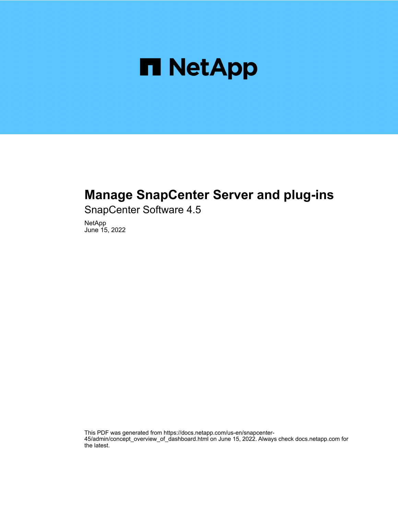

## **Manage SnapCenter Server and plug-ins**

SnapCenter Software 4.5

NetApp June 15, 2022

This PDF was generated from https://docs.netapp.com/us-en/snapcenter-45/admin/concept\_overview\_of\_dashboard.html on June 15, 2022. Always check docs.netapp.com for the latest.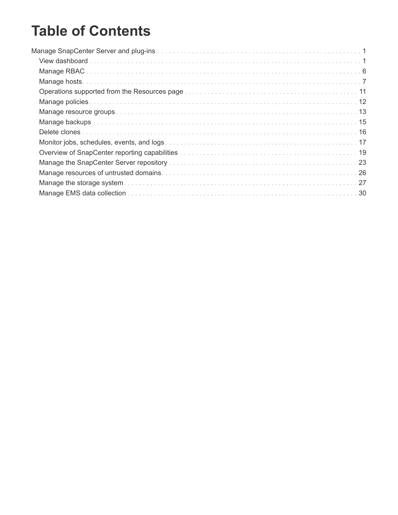# **Table of Contents**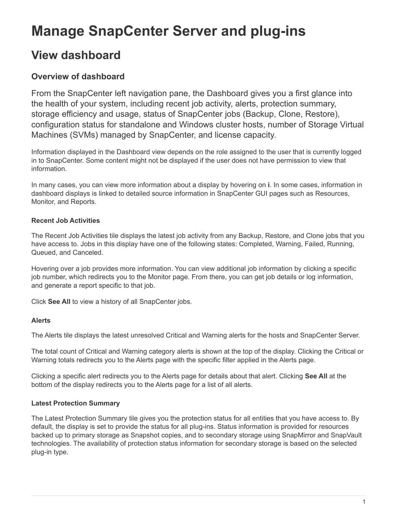# <span id="page-2-0"></span>**Manage SnapCenter Server and plug-ins**

## <span id="page-2-1"></span>**View dashboard**

## **Overview of dashboard**

From the SnapCenter left navigation pane, the Dashboard gives you a first glance into the health of your system, including recent job activity, alerts, protection summary, storage efficiency and usage, status of SnapCenter jobs (Backup, Clone, Restore), configuration status for standalone and Windows cluster hosts, number of Storage Virtual Machines (SVMs) managed by SnapCenter, and license capacity.

Information displayed in the Dashboard view depends on the role assigned to the user that is currently logged in to SnapCenter. Some content might not be displayed if the user does not have permission to view that information.

In many cases, you can view more information about a display by hovering on **i**. In some cases, information in dashboard displays is linked to detailed source information in SnapCenter GUI pages such as Resources, Monitor, and Reports.

### **Recent Job Activities**

The Recent Job Activities tile displays the latest job activity from any Backup, Restore, and Clone jobs that you have access to. Jobs in this display have one of the following states: Completed, Warning, Failed, Running, Queued, and Canceled.

Hovering over a job provides more information. You can view additional job information by clicking a specific job number, which redirects you to the Monitor page. From there, you can get job details or log information, and generate a report specific to that job.

Click **See All** to view a history of all SnapCenter jobs.

#### **Alerts**

The Alerts tile displays the latest unresolved Critical and Warning alerts for the hosts and SnapCenter Server.

The total count of Critical and Warning category alerts is shown at the top of the display. Clicking the Critical or Warning totals redirects you to the Alerts page with the specific filter applied in the Alerts page.

Clicking a specific alert redirects you to the Alerts page for details about that alert. Clicking **See All** at the bottom of the display redirects you to the Alerts page for a list of all alerts.

#### **Latest Protection Summary**

The Latest Protection Summary tile gives you the protection status for all entities that you have access to. By default, the display is set to provide the status for all plug-ins. Status information is provided for resources backed up to primary storage as Snapshot copies, and to secondary storage using SnapMirror and SnapVault technologies. The availability of protection status information for secondary storage is based on the selected plug-in type.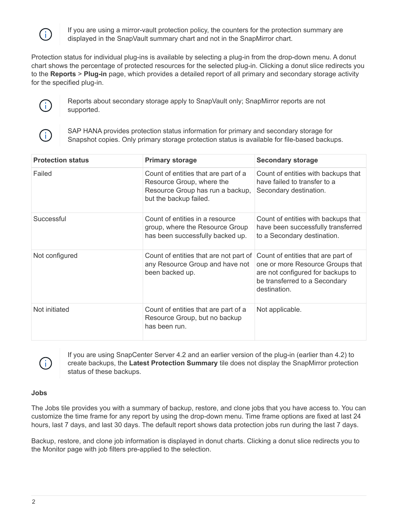

If you are using a mirror-vault protection policy, the counters for the protection summary are displayed in the SnapVault summary chart and not in the SnapMirror chart.

Protection status for individual plug-ins is available by selecting a plug-in from the drop-down menu. A donut chart shows the percentage of protected resources for the selected plug-in. Clicking a donut slice redirects you to the **Reports** > **Plug-in** page, which provides a detailed report of all primary and secondary storage activity for the specified plug-in.



Reports about secondary storage apply to SnapVault only; SnapMirror reports are not supported.



SAP HANA provides protection status information for primary and secondary storage for Snapshot copies. Only primary storage protection status is available for file-based backups.

| <b>Protection status</b> | <b>Primary storage</b>                                                                                                          | <b>Secondary storage</b>                                                                                                                                     |
|--------------------------|---------------------------------------------------------------------------------------------------------------------------------|--------------------------------------------------------------------------------------------------------------------------------------------------------------|
| Failed                   | Count of entities that are part of a<br>Resource Group, where the<br>Resource Group has run a backup,<br>but the backup failed. | Count of entities with backups that<br>have failed to transfer to a<br>Secondary destination.                                                                |
| Successful               | Count of entities in a resource<br>group, where the Resource Group<br>has been successfully backed up.                          | Count of entities with backups that<br>have been successfully transferred<br>to a Secondary destination.                                                     |
| Not configured           | Count of entities that are not part of<br>any Resource Group and have not<br>been backed up.                                    | Count of entities that are part of<br>one or more Resource Groups that<br>are not configured for backups to<br>be transferred to a Secondary<br>destination. |
| Not initiated            | Count of entities that are part of a<br>Resource Group, but no backup<br>has been run.                                          | Not applicable.                                                                                                                                              |



If you are using SnapCenter Server 4.2 and an earlier version of the plug-in (earlier than 4.2) to create backups, the **Latest Protection Summary** tile does not display the SnapMirror protection status of these backups.

#### **Jobs**

The Jobs tile provides you with a summary of backup, restore, and clone jobs that you have access to. You can customize the time frame for any report by using the drop-down menu. Time frame options are fixed at last 24 hours, last 7 days, and last 30 days. The default report shows data protection jobs run during the last 7 days.

Backup, restore, and clone job information is displayed in donut charts. Clicking a donut slice redirects you to the Monitor page with job filters pre-applied to the selection.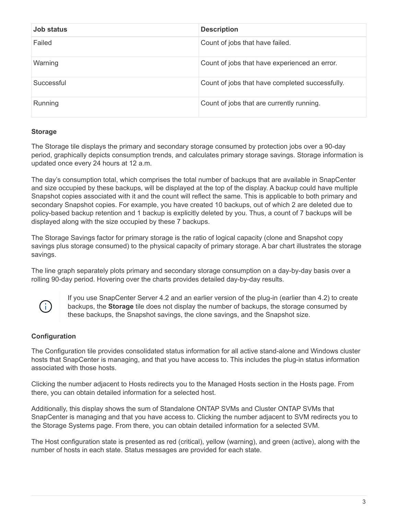| Job status | <b>Description</b>                              |
|------------|-------------------------------------------------|
| Failed     | Count of jobs that have failed.                 |
| Warning    | Count of jobs that have experienced an error.   |
| Successful | Count of jobs that have completed successfully. |
| Running    | Count of jobs that are currently running.       |

#### **Storage**

The Storage tile displays the primary and secondary storage consumed by protection jobs over a 90-day period, graphically depicts consumption trends, and calculates primary storage savings. Storage information is updated once every 24 hours at 12 a.m.

The day's consumption total, which comprises the total number of backups that are available in SnapCenter and size occupied by these backups, will be displayed at the top of the display. A backup could have multiple Snapshot copies associated with it and the count will reflect the same. This is applicable to both primary and secondary Snapshot copies. For example, you have created 10 backups, out of which 2 are deleted due to policy-based backup retention and 1 backup is explicitly deleted by you. Thus, a count of 7 backups will be displayed along with the size occupied by these 7 backups.

The Storage Savings factor for primary storage is the ratio of logical capacity (clone and Snapshot copy savings plus storage consumed) to the physical capacity of primary storage. A bar chart illustrates the storage savings.

The line graph separately plots primary and secondary storage consumption on a day-by-day basis over a rolling 90-day period. Hovering over the charts provides detailed day-by-day results.



If you use SnapCenter Server 4.2 and an earlier version of the plug-in (earlier than 4.2) to create backups, the **Storage** tile does not display the number of backups, the storage consumed by these backups, the Snapshot savings, the clone savings, and the Snapshot size.

#### **Configuration**

The Configuration tile provides consolidated status information for all active stand-alone and Windows cluster hosts that SnapCenter is managing, and that you have access to. This includes the plug-in status information associated with those hosts.

Clicking the number adjacent to Hosts redirects you to the Managed Hosts section in the Hosts page. From there, you can obtain detailed information for a selected host.

Additionally, this display shows the sum of Standalone ONTAP SVMs and Cluster ONTAP SVMs that SnapCenter is managing and that you have access to. Clicking the number adjacent to SVM redirects you to the Storage Systems page. From there, you can obtain detailed information for a selected SVM.

The Host configuration state is presented as red (critical), yellow (warning), and green (active), along with the number of hosts in each state. Status messages are provided for each state.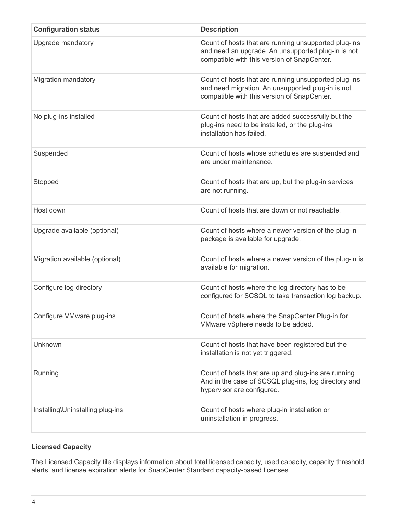| <b>Configuration status</b>      | <b>Description</b>                                                                                                                                        |
|----------------------------------|-----------------------------------------------------------------------------------------------------------------------------------------------------------|
| Upgrade mandatory                | Count of hosts that are running unsupported plug-ins<br>and need an upgrade. An unsupported plug-in is not<br>compatible with this version of SnapCenter. |
| <b>Migration mandatory</b>       | Count of hosts that are running unsupported plug-ins<br>and need migration. An unsupported plug-in is not<br>compatible with this version of SnapCenter.  |
| No plug-ins installed            | Count of hosts that are added successfully but the<br>plug-ins need to be installed, or the plug-ins<br>installation has failed.                          |
| Suspended                        | Count of hosts whose schedules are suspended and<br>are under maintenance.                                                                                |
| Stopped                          | Count of hosts that are up, but the plug-in services<br>are not running.                                                                                  |
| Host down                        | Count of hosts that are down or not reachable.                                                                                                            |
| Upgrade available (optional)     | Count of hosts where a newer version of the plug-in<br>package is available for upgrade.                                                                  |
| Migration available (optional)   | Count of hosts where a newer version of the plug-in is<br>available for migration.                                                                        |
| Configure log directory          | Count of hosts where the log directory has to be<br>configured for SCSQL to take transaction log backup.                                                  |
| Configure VMware plug-ins        | Count of hosts where the SnapCenter Plug-in for<br>VMware vSphere needs to be added.                                                                      |
| Unknown                          | Count of hosts that have been registered but the<br>installation is not yet triggered.                                                                    |
| Running                          | Count of hosts that are up and plug-ins are running.<br>And in the case of SCSQL plug-ins, log directory and<br>hypervisor are configured.                |
| Installing\Uninstalling plug-ins | Count of hosts where plug-in installation or<br>uninstallation in progress.                                                                               |

### **Licensed Capacity**

The Licensed Capacity tile displays information about total licensed capacity, used capacity, capacity threshold alerts, and license expiration alerts for SnapCenter Standard capacity-based licenses.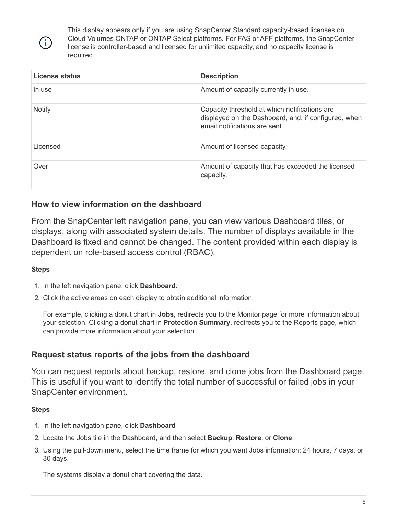

This display appears only if you are using SnapCenter Standard capacity-based licenses on Cloud Volumes ONTAP or ONTAP Select platforms. For FAS or AFF platforms, the SnapCenter license is controller-based and licensed for unlimited capacity, and no capacity license is required.

| License status | <b>Description</b>                                                                                                                     |
|----------------|----------------------------------------------------------------------------------------------------------------------------------------|
| In use         | Amount of capacity currently in use.                                                                                                   |
| <b>Notify</b>  | Capacity threshold at which notifications are<br>displayed on the Dashboard, and, if configured, when<br>email notifications are sent. |
| Licensed       | Amount of licensed capacity.                                                                                                           |
| Over           | Amount of capacity that has exceeded the licensed<br>capacity.                                                                         |

## **How to view information on the dashboard**

From the SnapCenter left navigation pane, you can view various Dashboard tiles, or displays, along with associated system details. The number of displays available in the Dashboard is fixed and cannot be changed. The content provided within each display is dependent on role-based access control (RBAC).

#### **Steps**

- 1. In the left navigation pane, click **Dashboard**.
- 2. Click the active areas on each display to obtain additional information.

For example, clicking a donut chart in **Jobs**, redirects you to the Monitor page for more information about your selection. Clicking a donut chart in **Protection Summary**, redirects you to the Reports page, which can provide more information about your selection.

### **Request status reports of the jobs from the dashboard**

You can request reports about backup, restore, and clone jobs from the Dashboard page. This is useful if you want to identify the total number of successful or failed jobs in your SnapCenter environment.

#### **Steps**

- 1. In the left navigation pane, click **Dashboard**
- 2. Locate the Jobs tile in the Dashboard, and then select **Backup**, **Restore**, or **Clone**.
- 3. Using the pull-down menu, select the time frame for which you want Jobs information: 24 hours, 7 days, or 30 days.

The systems display a donut chart covering the data.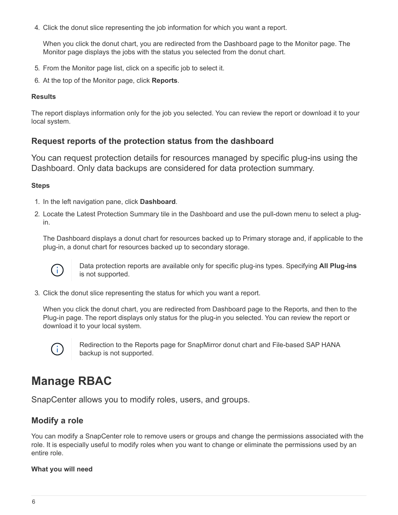4. Click the donut slice representing the job information for which you want a report.

When you click the donut chart, you are redirected from the Dashboard page to the Monitor page. The Monitor page displays the jobs with the status you selected from the donut chart.

- 5. From the Monitor page list, click on a specific job to select it.
- 6. At the top of the Monitor page, click **Reports**.

#### **Results**

The report displays information only for the job you selected. You can review the report or download it to your local system.

### **Request reports of the protection status from the dashboard**

You can request protection details for resources managed by specific plug-ins using the Dashboard. Only data backups are considered for data protection summary.

#### **Steps**

- 1. In the left navigation pane, click **Dashboard**.
- 2. Locate the Latest Protection Summary tile in the Dashboard and use the pull-down menu to select a plugin.

The Dashboard displays a donut chart for resources backed up to Primary storage and, if applicable to the plug-in, a donut chart for resources backed up to secondary storage.



Data protection reports are available only for specific plug-ins types. Specifying **All Plug-ins** is not supported.

3. Click the donut slice representing the status for which you want a report.

When you click the donut chart, you are redirected from Dashboard page to the Reports, and then to the Plug-in page. The report displays only status for the plug-in you selected. You can review the report or download it to your local system.



Redirection to the Reports page for SnapMirror donut chart and File-based SAP HANA backup is not supported.

## <span id="page-7-0"></span>**Manage RBAC**

SnapCenter allows you to modify roles, users, and groups.

### **Modify a role**

You can modify a SnapCenter role to remove users or groups and change the permissions associated with the role. It is especially useful to modify roles when you want to change or eliminate the permissions used by an entire role.

#### **What you will need**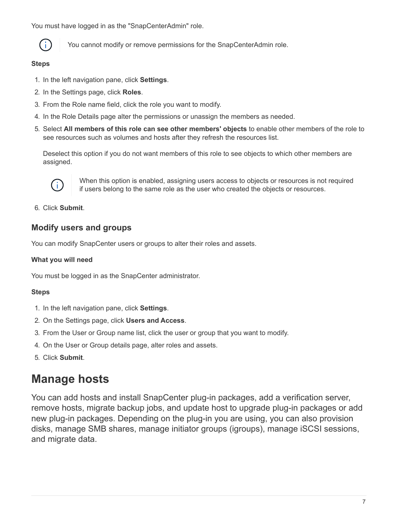You must have logged in as the "SnapCenterAdmin" role.



You cannot modify or remove permissions for the SnapCenterAdmin role.

#### **Steps**

- 1. In the left navigation pane, click **Settings**.
- 2. In the Settings page, click **Roles**.
- 3. From the Role name field, click the role you want to modify.
- 4. In the Role Details page alter the permissions or unassign the members as needed.
- 5. Select **All members of this role can see other members' objects** to enable other members of the role to see resources such as volumes and hosts after they refresh the resources list.

Deselect this option if you do not want members of this role to see objects to which other members are assigned.



When this option is enabled, assigning users access to objects or resources is not required if users belong to the same role as the user who created the objects or resources.

6. Click **Submit**.

## **Modify users and groups**

You can modify SnapCenter users or groups to alter their roles and assets.

#### **What you will need**

You must be logged in as the SnapCenter administrator.

#### **Steps**

- 1. In the left navigation pane, click **Settings**.
- 2. On the Settings page, click **Users and Access**.
- 3. From the User or Group name list, click the user or group that you want to modify.
- 4. On the User or Group details page, alter roles and assets.
- 5. Click **Submit**.

## <span id="page-8-0"></span>**Manage hosts**

You can add hosts and install SnapCenter plug-in packages, add a verification server, remove hosts, migrate backup jobs, and update host to upgrade plug-in packages or add new plug-in packages. Depending on the plug-in you are using, you can also provision disks, manage SMB shares, manage initiator groups (igroups), manage iSCSI sessions, and migrate data.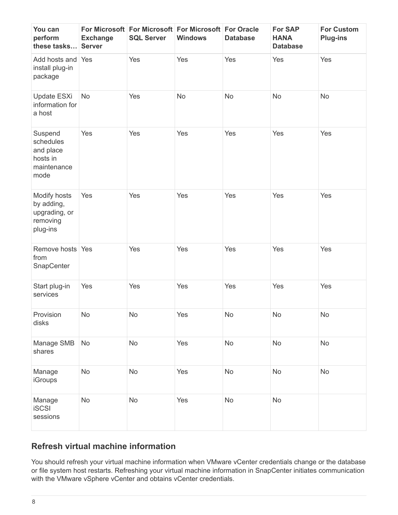| You can<br>perform<br>these tasks                                    | <b>Exchange</b><br><b>Server</b> | For Microsoft For Microsoft For Microsoft For Oracle<br><b>SQL Server</b> | <b>Windows</b> | <b>Database</b> | <b>For SAP</b><br><b>HANA</b><br><b>Database</b> | <b>For Custom</b><br><b>Plug-ins</b> |
|----------------------------------------------------------------------|----------------------------------|---------------------------------------------------------------------------|----------------|-----------------|--------------------------------------------------|--------------------------------------|
| Add hosts and Yes<br>install plug-in<br>package                      |                                  | Yes                                                                       | Yes            | Yes             | Yes                                              | Yes                                  |
| Update ESXi<br>information for<br>a host                             | No                               | Yes                                                                       | No             | No              | No                                               | No                                   |
| Suspend<br>schedules<br>and place<br>hosts in<br>maintenance<br>mode | Yes                              | Yes                                                                       | Yes            | Yes             | Yes                                              | Yes                                  |
| Modify hosts<br>by adding,<br>upgrading, or<br>removing<br>plug-ins  | Yes                              | Yes                                                                       | Yes            | Yes             | Yes                                              | Yes                                  |
| Remove hosts Yes<br>from<br>SnapCenter                               |                                  | Yes                                                                       | Yes            | Yes             | Yes                                              | Yes                                  |
| Start plug-in<br>services                                            | Yes                              | Yes                                                                       | Yes            | Yes             | Yes                                              | Yes                                  |
| Provision<br>disks                                                   | No                               | No                                                                        | Yes            | No              | $\operatorname{\mathsf{No}}$                     | No                                   |
| Manage SMB<br>shares                                                 | No                               | No                                                                        | Yes            | No              | No                                               | No                                   |
| Manage<br><b>iGroups</b>                                             | <b>No</b>                        | <b>No</b>                                                                 | Yes            | No              | No                                               | No                                   |
| Manage<br><b>iSCSI</b><br>sessions                                   | No                               | <b>No</b>                                                                 | Yes            | <b>No</b>       | No                                               |                                      |

## **Refresh virtual machine information**

You should refresh your virtual machine information when VMware vCenter credentials change or the database or file system host restarts. Refreshing your virtual machine information in SnapCenter initiates communication with the VMware vSphere vCenter and obtains vCenter credentials.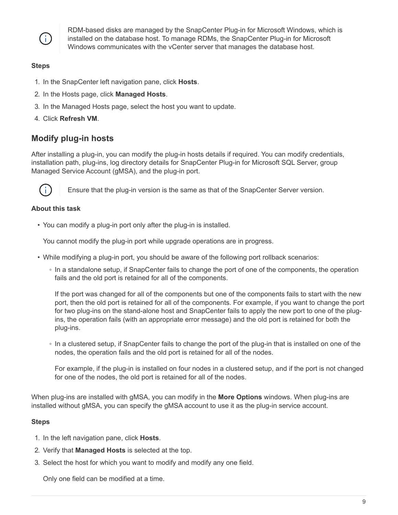

RDM-based disks are managed by the SnapCenter Plug-in for Microsoft Windows, which is installed on the database host. To manage RDMs, the SnapCenter Plug-in for Microsoft Windows communicates with the vCenter server that manages the database host.

#### **Steps**

- 1. In the SnapCenter left navigation pane, click **Hosts**.
- 2. In the Hosts page, click **Managed Hosts**.
- 3. In the Managed Hosts page, select the host you want to update.
- 4. Click **Refresh VM**.

## **Modify plug-in hosts**

After installing a plug-in, you can modify the plug-in hosts details if required. You can modify credentials, installation path, plug-ins, log directory details for SnapCenter Plug-in for Microsoft SQL Server, group Managed Service Account (gMSA), and the plug-in port.



Ensure that the plug-in version is the same as that of the SnapCenter Server version.

#### **About this task**

• You can modify a plug-in port only after the plug-in is installed.

You cannot modify the plug-in port while upgrade operations are in progress.

- While modifying a plug-in port, you should be aware of the following port rollback scenarios:
	- In a standalone setup, if SnapCenter fails to change the port of one of the components, the operation fails and the old port is retained for all of the components.

If the port was changed for all of the components but one of the components fails to start with the new port, then the old port is retained for all of the components. For example, if you want to change the port for two plug-ins on the stand-alone host and SnapCenter fails to apply the new port to one of the plugins, the operation fails (with an appropriate error message) and the old port is retained for both the plug-ins.

◦ In a clustered setup, if SnapCenter fails to change the port of the plug-in that is installed on one of the nodes, the operation fails and the old port is retained for all of the nodes.

For example, if the plug-in is installed on four nodes in a clustered setup, and if the port is not changed for one of the nodes, the old port is retained for all of the nodes.

When plug-ins are installed with gMSA, you can modify in the **More Options** windows. When plug-ins are installed without gMSA, you can specify the gMSA account to use it as the plug-in service account.

#### **Steps**

- 1. In the left navigation pane, click **Hosts**.
- 2. Verify that **Managed Hosts** is selected at the top.
- 3. Select the host for which you want to modify and modify any one field.

Only one field can be modified at a time.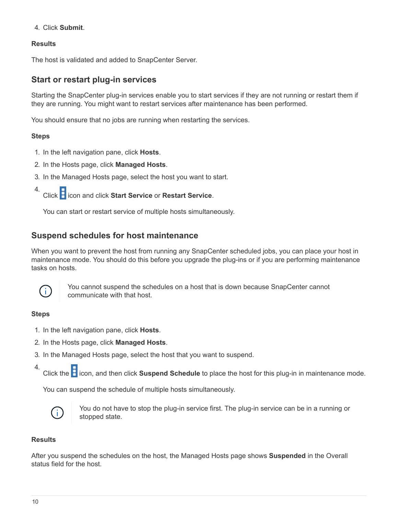4. Click **Submit**.

#### **Results**

The host is validated and added to SnapCenter Server.

### **Start or restart plug-in services**

Starting the SnapCenter plug-in services enable you to start services if they are not running or restart them if they are running. You might want to restart services after maintenance has been performed.

You should ensure that no jobs are running when restarting the services.

#### **Steps**

- 1. In the left navigation pane, click **Hosts**.
- 2. In the Hosts page, click **Managed Hosts**.
- 3. In the Managed Hosts page, select the host you want to start.
- 4. Click icon and click **Start Service** or **Restart Service**.

You can start or restart service of multiple hosts simultaneously.

## **Suspend schedules for host maintenance**

When you want to prevent the host from running any SnapCenter scheduled jobs, you can place your host in maintenance mode. You should do this before you upgrade the plug-ins or if you are performing maintenance tasks on hosts.



You cannot suspend the schedules on a host that is down because SnapCenter cannot communicate with that host.

#### **Steps**

- 1. In the left navigation pane, click **Hosts**.
- 2. In the Hosts page, click **Managed Hosts**.
- 3. In the Managed Hosts page, select the host that you want to suspend.
- 4. Click the **in** icon, and then click **Suspend Schedule** to place the host for this plug-in in maintenance mode.

You can suspend the schedule of multiple hosts simultaneously.



You do not have to stop the plug-in service first. The plug-in service can be in a running or stopped state.

#### **Results**

After you suspend the schedules on the host, the Managed Hosts page shows **Suspended** in the Overall status field for the host.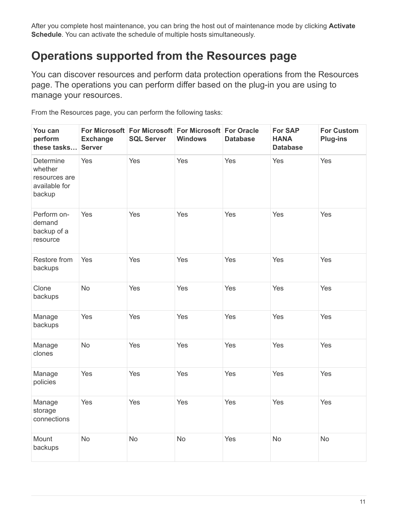After you complete host maintenance, you can bring the host out of maintenance mode by clicking **Activate Schedule**. You can activate the schedule of multiple hosts simultaneously.

## <span id="page-12-0"></span>**Operations supported from the Resources page**

You can discover resources and perform data protection operations from the Resources page. The operations you can perform differ based on the plug-in you are using to manage your resources.

From the Resources page, you can perform the following tasks:

| You can<br>perform<br>these tasks                                | <b>Exchange</b><br><b>Server</b> | For Microsoft For Microsoft For Microsoft For Oracle<br><b>SQL Server</b> | <b>Windows</b> | <b>Database</b> | <b>For SAP</b><br><b>HANA</b><br><b>Database</b> | <b>For Custom</b><br><b>Plug-ins</b> |
|------------------------------------------------------------------|----------------------------------|---------------------------------------------------------------------------|----------------|-----------------|--------------------------------------------------|--------------------------------------|
| Determine<br>whether<br>resources are<br>available for<br>backup | Yes                              | Yes                                                                       | Yes            | Yes             | Yes                                              | Yes                                  |
| Perform on-<br>demand<br>backup of a<br>resource                 | Yes                              | Yes                                                                       | Yes            | Yes             | Yes                                              | Yes                                  |
| Restore from<br>backups                                          | Yes                              | Yes                                                                       | Yes            | Yes             | Yes                                              | Yes                                  |
| Clone<br>backups                                                 | No                               | Yes                                                                       | Yes            | Yes             | Yes                                              | Yes                                  |
| Manage<br>backups                                                | Yes                              | Yes                                                                       | Yes            | Yes             | Yes                                              | Yes                                  |
| Manage<br>clones                                                 | <b>No</b>                        | Yes                                                                       | Yes            | Yes             | Yes                                              | Yes                                  |
| Manage<br>policies                                               | Yes                              | Yes                                                                       | Yes            | Yes             | Yes                                              | Yes                                  |
| Manage<br>storage<br>connections                                 | Yes                              | Yes                                                                       | Yes            | Yes             | Yes                                              | Yes                                  |
| Mount<br>backups                                                 | <b>No</b>                        | <b>No</b>                                                                 | <b>No</b>      | Yes             | <b>No</b>                                        | <b>No</b>                            |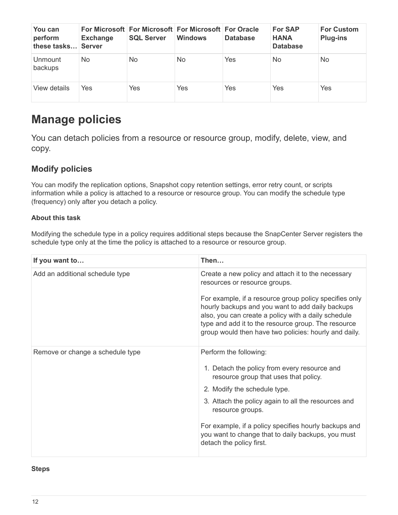| You can<br>perform<br>these tasks | <b>Exchange</b><br><b>Server</b> | For Microsoft For Microsoft For Microsoft For Oracle<br><b>SQL Server</b> | <b>Windows</b> | <b>Database</b> | <b>For SAP</b><br><b>HANA</b><br><b>Database</b> | <b>For Custom</b><br><b>Plug-ins</b> |
|-----------------------------------|----------------------------------|---------------------------------------------------------------------------|----------------|-----------------|--------------------------------------------------|--------------------------------------|
| <b>Unmount</b><br>backups         | No.                              | No.                                                                       | No.            | Yes             | <b>No</b>                                        | No                                   |
| View details                      | Yes                              | Yes                                                                       | Yes            | Yes             | Yes                                              | Yes                                  |

## <span id="page-13-0"></span>**Manage policies**

You can detach policies from a resource or resource group, modify, delete, view, and copy.

## **Modify policies**

You can modify the replication options, Snapshot copy retention settings, error retry count, or scripts information while a policy is attached to a resource or resource group. You can modify the schedule type (frequency) only after you detach a policy.

#### **About this task**

Modifying the schedule type in a policy requires additional steps because the SnapCenter Server registers the schedule type only at the time the policy is attached to a resource or resource group.

| If you want to                   | Then                                                                                                                                                                                                                                                                              |
|----------------------------------|-----------------------------------------------------------------------------------------------------------------------------------------------------------------------------------------------------------------------------------------------------------------------------------|
| Add an additional schedule type  | Create a new policy and attach it to the necessary<br>resources or resource groups.                                                                                                                                                                                               |
|                                  | For example, if a resource group policy specifies only<br>hourly backups and you want to add daily backups<br>also, you can create a policy with a daily schedule<br>type and add it to the resource group. The resource<br>group would then have two policies: hourly and daily. |
| Remove or change a schedule type | Perform the following:                                                                                                                                                                                                                                                            |
|                                  | 1. Detach the policy from every resource and<br>resource group that uses that policy.                                                                                                                                                                                             |
|                                  | 2. Modify the schedule type.                                                                                                                                                                                                                                                      |
|                                  | 3. Attach the policy again to all the resources and<br>resource groups.                                                                                                                                                                                                           |
|                                  | For example, if a policy specifies hourly backups and<br>you want to change that to daily backups, you must<br>detach the policy first.                                                                                                                                           |

#### **Steps**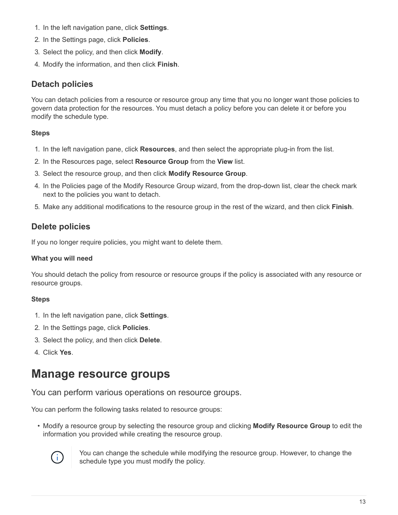- 1. In the left navigation pane, click **Settings**.
- 2. In the Settings page, click **Policies**.
- 3. Select the policy, and then click **Modify**.
- 4. Modify the information, and then click **Finish**.

### **Detach policies**

You can detach policies from a resource or resource group any time that you no longer want those policies to govern data protection for the resources. You must detach a policy before you can delete it or before you modify the schedule type.

#### **Steps**

- 1. In the left navigation pane, click **Resources**, and then select the appropriate plug-in from the list.
- 2. In the Resources page, select **Resource Group** from the **View** list.
- 3. Select the resource group, and then click **Modify Resource Group**.
- 4. In the Policies page of the Modify Resource Group wizard, from the drop-down list, clear the check mark next to the policies you want to detach.
- 5. Make any additional modifications to the resource group in the rest of the wizard, and then click **Finish**.

## **Delete policies**

If you no longer require policies, you might want to delete them.

#### **What you will need**

You should detach the policy from resource or resource groups if the policy is associated with any resource or resource groups.

#### **Steps**

- 1. In the left navigation pane, click **Settings**.
- 2. In the Settings page, click **Policies**.
- 3. Select the policy, and then click **Delete**.
- 4. Click **Yes**.

## <span id="page-14-0"></span>**Manage resource groups**

You can perform various operations on resource groups.

You can perform the following tasks related to resource groups:

• Modify a resource group by selecting the resource group and clicking **Modify Resource Group** to edit the information you provided while creating the resource group.



You can change the schedule while modifying the resource group. However, to change the schedule type you must modify the policy.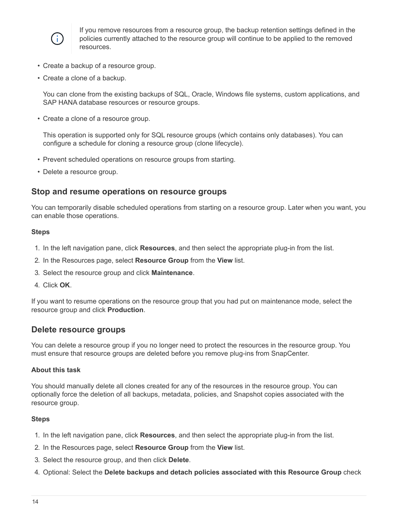

If you remove resources from a resource group, the backup retention settings defined in the policies currently attached to the resource group will continue to be applied to the removed resources.

- Create a backup of a resource group.
- Create a clone of a backup.

You can clone from the existing backups of SQL, Oracle, Windows file systems, custom applications, and SAP HANA database resources or resource groups.

• Create a clone of a resource group.

This operation is supported only for SQL resource groups (which contains only databases). You can configure a schedule for cloning a resource group (clone lifecycle).

- Prevent scheduled operations on resource groups from starting.
- Delete a resource group.

#### **Stop and resume operations on resource groups**

You can temporarily disable scheduled operations from starting on a resource group. Later when you want, you can enable those operations.

#### **Steps**

- 1. In the left navigation pane, click **Resources**, and then select the appropriate plug-in from the list.
- 2. In the Resources page, select **Resource Group** from the **View** list.
- 3. Select the resource group and click **Maintenance**.
- 4. Click **OK**.

If you want to resume operations on the resource group that you had put on maintenance mode, select the resource group and click **Production**.

#### **Delete resource groups**

You can delete a resource group if you no longer need to protect the resources in the resource group. You must ensure that resource groups are deleted before you remove plug-ins from SnapCenter.

#### **About this task**

You should manually delete all clones created for any of the resources in the resource group. You can optionally force the deletion of all backups, metadata, policies, and Snapshot copies associated with the resource group.

#### **Steps**

- 1. In the left navigation pane, click **Resources**, and then select the appropriate plug-in from the list.
- 2. In the Resources page, select **Resource Group** from the **View** list.
- 3. Select the resource group, and then click **Delete**.
- 4. Optional: Select the **Delete backups and detach policies associated with this Resource Group** check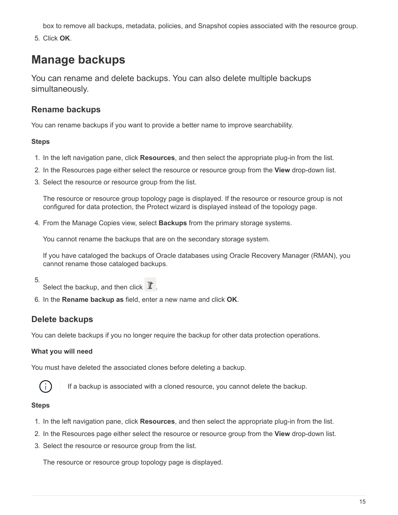box to remove all backups, metadata, policies, and Snapshot copies associated with the resource group.

5. Click **OK**.

## <span id="page-16-0"></span>**Manage backups**

You can rename and delete backups. You can also delete multiple backups simultaneously.

## **Rename backups**

You can rename backups if you want to provide a better name to improve searchability.

#### **Steps**

- 1. In the left navigation pane, click **Resources**, and then select the appropriate plug-in from the list.
- 2. In the Resources page either select the resource or resource group from the **View** drop-down list.
- 3. Select the resource or resource group from the list.

The resource or resource group topology page is displayed. If the resource or resource group is not configured for data protection, the Protect wizard is displayed instead of the topology page.

4. From the Manage Copies view, select **Backups** from the primary storage systems.

You cannot rename the backups that are on the secondary storage system.

If you have cataloged the backups of Oracle databases using Oracle Recovery Manager (RMAN), you cannot rename those cataloged backups.

- 5.
- Select the backup, and then click  $\mathbf{I}$ .
- 6. In the **Rename backup as** field, enter a new name and click **OK**.

## **Delete backups**

You can delete backups if you no longer require the backup for other data protection operations.

#### **What you will need**

You must have deleted the associated clones before deleting a backup.



If a backup is associated with a cloned resource, you cannot delete the backup.

#### **Steps**

- 1. In the left navigation pane, click **Resources**, and then select the appropriate plug-in from the list.
- 2. In the Resources page either select the resource or resource group from the **View** drop-down list.
- 3. Select the resource or resource group from the list.

The resource or resource group topology page is displayed.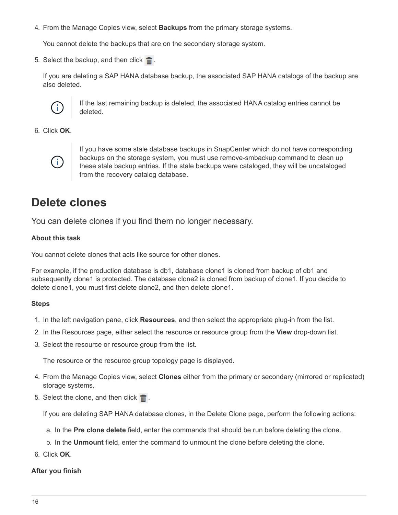4. From the Manage Copies view, select **Backups** from the primary storage systems.

You cannot delete the backups that are on the secondary storage system.

5. Select the backup, and then click  $\blacksquare$ .

If you are deleting a SAP HANA database backup, the associated SAP HANA catalogs of the backup are also deleted.



If the last remaining backup is deleted, the associated HANA catalog entries cannot be deleted.

6. Click **OK**.



If you have some stale database backups in SnapCenter which do not have corresponding backups on the storage system, you must use remove-smbackup command to clean up these stale backup entries. If the stale backups were cataloged, they will be uncataloged from the recovery catalog database.

## <span id="page-17-0"></span>**Delete clones**

You can delete clones if you find them no longer necessary.

#### **About this task**

You cannot delete clones that acts like source for other clones.

For example, if the production database is db1, database clone1 is cloned from backup of db1 and subsequently clone1 is protected. The database clone2 is cloned from backup of clone1. If you decide to delete clone1, you must first delete clone2, and then delete clone1.

#### **Steps**

- 1. In the left navigation pane, click **Resources**, and then select the appropriate plug-in from the list.
- 2. In the Resources page, either select the resource or resource group from the **View** drop-down list.
- 3. Select the resource or resource group from the list.

The resource or the resource group topology page is displayed.

- 4. From the Manage Copies view, select **Clones** either from the primary or secondary (mirrored or replicated) storage systems.
- 5. Select the clone, and then click  $\blacksquare$ .

If you are deleting SAP HANA database clones, in the Delete Clone page, perform the following actions:

- a. In the **Pre clone delete** field, enter the commands that should be run before deleting the clone.
- b. In the **Unmount** field, enter the command to unmount the clone before deleting the clone.
- 6. Click **OK**.

#### **After you finish**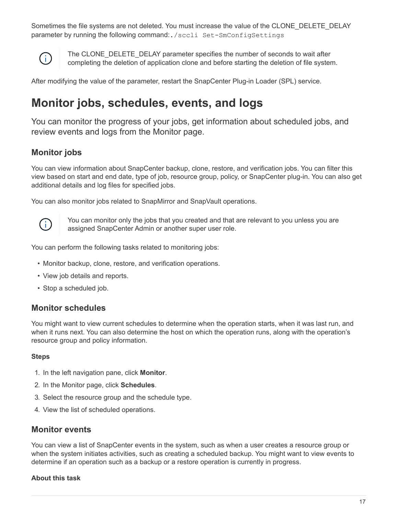Sometimes the file systems are not deleted. You must increase the value of the CLONE\_DELETE\_DELAY parameter by running the following command:./sccli Set-SmConfigSettings



The CLONE\_DELETE\_DELAY parameter specifies the number of seconds to wait after completing the deletion of application clone and before starting the deletion of file system.

After modifying the value of the parameter, restart the SnapCenter Plug-in Loader (SPL) service.

## <span id="page-18-0"></span>**Monitor jobs, schedules, events, and logs**

You can monitor the progress of your jobs, get information about scheduled jobs, and review events and logs from the Monitor page.

## **Monitor jobs**

You can view information about SnapCenter backup, clone, restore, and verification jobs. You can filter this view based on start and end date, type of job, resource group, policy, or SnapCenter plug-in. You can also get additional details and log files for specified jobs.

You can also monitor jobs related to SnapMirror and SnapVault operations.



You can monitor only the jobs that you created and that are relevant to you unless you are assigned SnapCenter Admin or another super user role.

You can perform the following tasks related to monitoring jobs:

- Monitor backup, clone, restore, and verification operations.
- View job details and reports.
- Stop a scheduled job.

#### **Monitor schedules**

You might want to view current schedules to determine when the operation starts, when it was last run, and when it runs next. You can also determine the host on which the operation runs, along with the operation's resource group and policy information.

#### **Steps**

- 1. In the left navigation pane, click **Monitor**.
- 2. In the Monitor page, click **Schedules**.
- 3. Select the resource group and the schedule type.
- 4. View the list of scheduled operations.

### **Monitor events**

You can view a list of SnapCenter events in the system, such as when a user creates a resource group or when the system initiates activities, such as creating a scheduled backup. You might want to view events to determine if an operation such as a backup or a restore operation is currently in progress.

#### **About this task**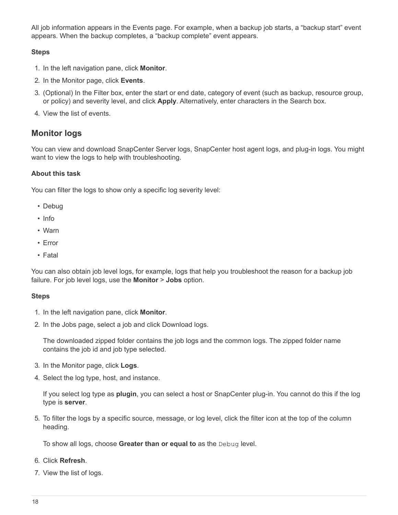All job information appears in the Events page. For example, when a backup job starts, a "backup start" event appears. When the backup completes, a "backup complete" event appears.

#### **Steps**

- 1. In the left navigation pane, click **Monitor**.
- 2. In the Monitor page, click **Events**.
- 3. (Optional) In the Filter box, enter the start or end date, category of event (such as backup, resource group, or policy) and severity level, and click **Apply**. Alternatively, enter characters in the Search box.
- 4. View the list of events.

## **Monitor logs**

You can view and download SnapCenter Server logs, SnapCenter host agent logs, and plug-in logs. You might want to view the logs to help with troubleshooting.

#### **About this task**

You can filter the logs to show only a specific log severity level:

- Debug
- Info
- Warn
- Error
- Fatal

You can also obtain job level logs, for example, logs that help you troubleshoot the reason for a backup job failure. For job level logs, use the **Monitor** > **Jobs** option.

#### **Steps**

- 1. In the left navigation pane, click **Monitor**.
- 2. In the Jobs page, select a job and click Download logs.

The downloaded zipped folder contains the job logs and the common logs. The zipped folder name contains the job id and job type selected.

- 3. In the Monitor page, click **Logs**.
- 4. Select the log type, host, and instance.

If you select log type as **plugin**, you can select a host or SnapCenter plug-in. You cannot do this if the log type is **server**.

5. To filter the logs by a specific source, message, or log level, click the filter icon at the top of the column heading.

To show all logs, choose **Greater than or equal to** as the Debug level.

#### 6. Click **Refresh**.

7. View the list of logs.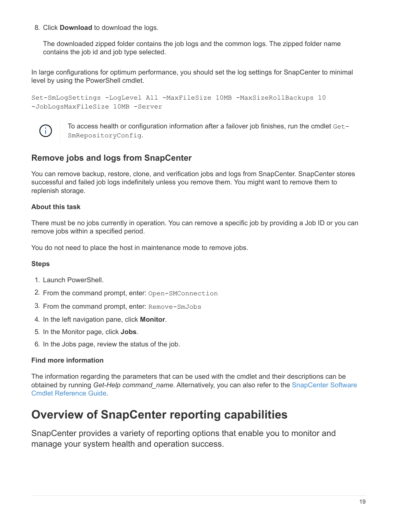8. Click **Download** to download the logs.

The downloaded zipped folder contains the job logs and the common logs. The zipped folder name contains the job id and job type selected.

In large configurations for optimum performance, you should set the log settings for SnapCenter to minimal level by using the PowerShell cmdlet.

```
Set-SmLogSettings -LogLevel All -MaxFileSize 10MB -MaxSizeRollBackups 10
-JobLogsMaxFileSize 10MB -Server
```


To access health or configuration information after a failover job finishes, run the cmdlet Get-SmRepositoryConfig.

## **Remove jobs and logs from SnapCenter**

You can remove backup, restore, clone, and verification jobs and logs from SnapCenter. SnapCenter stores successful and failed job logs indefinitely unless you remove them. You might want to remove them to replenish storage.

#### **About this task**

There must be no jobs currently in operation. You can remove a specific job by providing a Job ID or you can remove jobs within a specified period.

You do not need to place the host in maintenance mode to remove jobs.

#### **Steps**

- 1. Launch PowerShell.
- 2. From the command prompt, enter: Open-SMConnection
- 3. From the command prompt, enter: Remove-SmJobs
- 4. In the left navigation pane, click **Monitor**.
- 5. In the Monitor page, click **Jobs**.
- 6. In the Jobs page, review the status of the job.

#### **Find more information**

The information regarding the parameters that can be used with the cmdlet and their descriptions can be obtained by running *Get-Help command\_name*. Alternatively, you can also refer to the [SnapCenter Software](https://library.netapp.com/ecm/ecm_download_file/ECMLP2877143) [Cmdlet Reference Guide.](https://library.netapp.com/ecm/ecm_download_file/ECMLP2877143)

## <span id="page-20-0"></span>**Overview of SnapCenter reporting capabilities**

SnapCenter provides a variety of reporting options that enable you to monitor and manage your system health and operation success.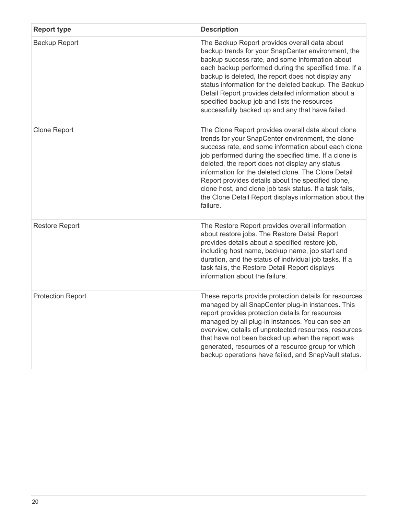| <b>Report type</b>       | <b>Description</b>                                                                                                                                                                                                                                                                                                                                                                                                                                                                                                        |
|--------------------------|---------------------------------------------------------------------------------------------------------------------------------------------------------------------------------------------------------------------------------------------------------------------------------------------------------------------------------------------------------------------------------------------------------------------------------------------------------------------------------------------------------------------------|
| <b>Backup Report</b>     | The Backup Report provides overall data about<br>backup trends for your SnapCenter environment, the<br>backup success rate, and some information about<br>each backup performed during the specified time. If a<br>backup is deleted, the report does not display any<br>status information for the deleted backup. The Backup<br>Detail Report provides detailed information about a<br>specified backup job and lists the resources<br>successfully backed up and any that have failed.                                 |
| <b>Clone Report</b>      | The Clone Report provides overall data about clone<br>trends for your SnapCenter environment, the clone<br>success rate, and some information about each clone<br>job performed during the specified time. If a clone is<br>deleted, the report does not display any status<br>information for the deleted clone. The Clone Detail<br>Report provides details about the specified clone,<br>clone host, and clone job task status. If a task fails,<br>the Clone Detail Report displays information about the<br>failure. |
| <b>Restore Report</b>    | The Restore Report provides overall information<br>about restore jobs. The Restore Detail Report<br>provides details about a specified restore job,<br>including host name, backup name, job start and<br>duration, and the status of individual job tasks. If a<br>task fails, the Restore Detail Report displays<br>information about the failure.                                                                                                                                                                      |
| <b>Protection Report</b> | These reports provide protection details for resources<br>managed by all SnapCenter plug-in instances. This<br>report provides protection details for resources<br>managed by all plug-in instances. You can see an<br>overview, details of unprotected resources, resources<br>that have not been backed up when the report was<br>generated, resources of a resource group for which<br>backup operations have failed, and SnapVault status.                                                                            |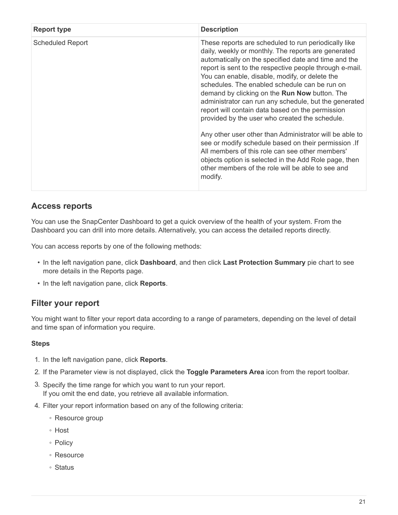| <b>Report type</b>      | <b>Description</b>                                                                                                                                                                                                                                                                                                                                                                                                                                                                                                                                                                                                                                                                                                                                                                                                                                |
|-------------------------|---------------------------------------------------------------------------------------------------------------------------------------------------------------------------------------------------------------------------------------------------------------------------------------------------------------------------------------------------------------------------------------------------------------------------------------------------------------------------------------------------------------------------------------------------------------------------------------------------------------------------------------------------------------------------------------------------------------------------------------------------------------------------------------------------------------------------------------------------|
| <b>Scheduled Report</b> | These reports are scheduled to run periodically like<br>daily, weekly or monthly. The reports are generated<br>automatically on the specified date and time and the<br>report is sent to the respective people through e-mail.<br>You can enable, disable, modify, or delete the<br>schedules. The enabled schedule can be run on<br>demand by clicking on the Run Now button. The<br>administrator can run any schedule, but the generated<br>report will contain data based on the permission<br>provided by the user who created the schedule.<br>Any other user other than Administrator will be able to<br>see or modify schedule based on their permission . If<br>All members of this role can see other members'<br>objects option is selected in the Add Role page, then<br>other members of the role will be able to see and<br>modify. |

## **Access reports**

You can use the SnapCenter Dashboard to get a quick overview of the health of your system. From the Dashboard you can drill into more details. Alternatively, you can access the detailed reports directly.

You can access reports by one of the following methods:

- In the left navigation pane, click **Dashboard**, and then click **Last Protection Summary** pie chart to see more details in the Reports page.
- In the left navigation pane, click **Reports**.

## **Filter your report**

You might want to filter your report data according to a range of parameters, depending on the level of detail and time span of information you require.

#### **Steps**

- 1. In the left navigation pane, click **Reports**.
- 2. If the Parameter view is not displayed, click the **Toggle Parameters Area** icon from the report toolbar.
- 3. Specify the time range for which you want to run your report. If you omit the end date, you retrieve all available information.
- 4. Filter your report information based on any of the following criteria:
	- Resource group
	- Host
	- Policy
	- Resource
	- Status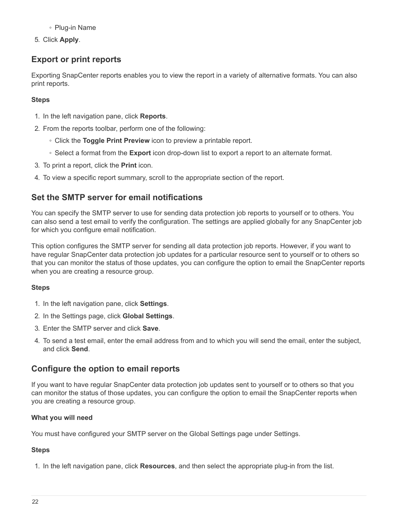◦ Plug-in Name

5. Click **Apply**.

## **Export or print reports**

Exporting SnapCenter reports enables you to view the report in a variety of alternative formats. You can also print reports.

#### **Steps**

- 1. In the left navigation pane, click **Reports**.
- 2. From the reports toolbar, perform one of the following:
	- Click the **Toggle Print Preview** icon to preview a printable report.
	- Select a format from the **Export** icon drop-down list to export a report to an alternate format.
- 3. To print a report, click the **Print** icon.
- 4. To view a specific report summary, scroll to the appropriate section of the report.

## **Set the SMTP server for email notifications**

You can specify the SMTP server to use for sending data protection job reports to yourself or to others. You can also send a test email to verify the configuration. The settings are applied globally for any SnapCenter job for which you configure email notification.

This option configures the SMTP server for sending all data protection job reports. However, if you want to have regular SnapCenter data protection job updates for a particular resource sent to yourself or to others so that you can monitor the status of those updates, you can configure the option to email the SnapCenter reports when you are creating a resource group.

#### **Steps**

- 1. In the left navigation pane, click **Settings**.
- 2. In the Settings page, click **Global Settings**.
- 3. Enter the SMTP server and click **Save**.
- 4. To send a test email, enter the email address from and to which you will send the email, enter the subject, and click **Send**.

## **Configure the option to email reports**

If you want to have regular SnapCenter data protection job updates sent to yourself or to others so that you can monitor the status of those updates, you can configure the option to email the SnapCenter reports when you are creating a resource group.

#### **What you will need**

You must have configured your SMTP server on the Global Settings page under Settings.

### **Steps**

1. In the left navigation pane, click **Resources**, and then select the appropriate plug-in from the list.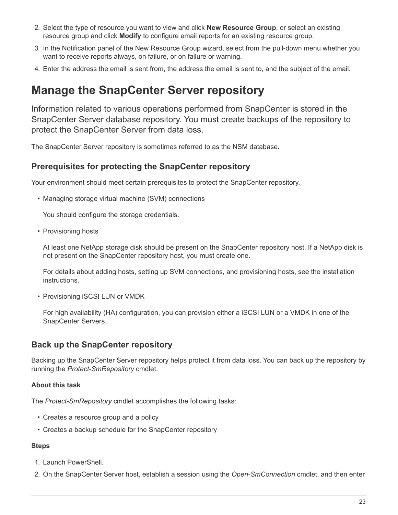- 2. Select the type of resource you want to view and click **New Resource Group**, or select an existing resource group and click **Modify** to configure email reports for an existing resource group.
- 3. In the Notification panel of the New Resource Group wizard, select from the pull-down menu whether you want to receive reports always, on failure, or on failure or warning.
- 4. Enter the address the email is sent from, the address the email is sent to, and the subject of the email.

## <span id="page-24-0"></span>**Manage the SnapCenter Server repository**

Information related to various operations performed from SnapCenter is stored in the SnapCenter Server database repository. You must create backups of the repository to protect the SnapCenter Server from data loss.

The SnapCenter Server repository is sometimes referred to as the NSM database.

### **Prerequisites for protecting the SnapCenter repository**

Your environment should meet certain prerequisites to protect the SnapCenter repository.

• Managing storage virtual machine (SVM) connections

You should configure the storage credentials.

• Provisioning hosts

At least one NetApp storage disk should be present on the SnapCenter repository host. If a NetApp disk is not present on the SnapCenter repository host, you must create one.

For details about adding hosts, setting up SVM connections, and provisioning hosts, see the installation instructions.

• Provisioning iSCSI LUN or VMDK

For high availability (HA) configuration, you can provision either a iSCSI LUN or a VMDK in one of the SnapCenter Servers.

### **Back up the SnapCenter repository**

Backing up the SnapCenter Server repository helps protect it from data loss. You can back up the repository by running the *Protect-SmRepository* cmdlet.

#### **About this task**

The *Protect-SmRepository* cmdlet accomplishes the following tasks:

- Creates a resource group and a policy
- Creates a backup schedule for the SnapCenter repository

#### **Steps**

- 1. Launch PowerShell.
- 2. On the SnapCenter Server host, establish a session using the *Open-SmConnection* cmdlet, and then enter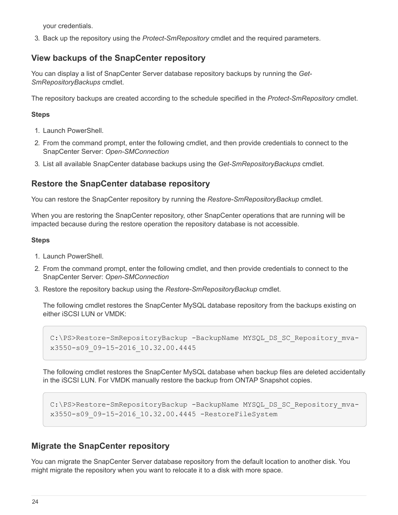your credentials.

3. Back up the repository using the *Protect-SmRepository* cmdlet and the required parameters.

## **View backups of the SnapCenter repository**

You can display a list of SnapCenter Server database repository backups by running the *Get-SmRepositoryBackups* cmdlet.

The repository backups are created according to the schedule specified in the *Protect-SmRepository* cmdlet.

#### **Steps**

- 1. Launch PowerShell.
- 2. From the command prompt, enter the following cmdlet, and then provide credentials to connect to the SnapCenter Server: *Open-SMConnection*
- 3. List all available SnapCenter database backups using the *Get-SmRepositoryBackups* cmdlet.

## **Restore the SnapCenter database repository**

You can restore the SnapCenter repository by running the *Restore-SmRepositoryBackup* cmdlet.

When you are restoring the SnapCenter repository, other SnapCenter operations that are running will be impacted because during the restore operation the repository database is not accessible.

#### **Steps**

- 1. Launch PowerShell.
- 2. From the command prompt, enter the following cmdlet, and then provide credentials to connect to the SnapCenter Server: *Open-SMConnection*
- 3. Restore the repository backup using the *Restore-SmRepositoryBackup* cmdlet.

The following cmdlet restores the SnapCenter MySQL database repository from the backups existing on either iSCSI LUN or VMDK:

```
C:\PS>Restore-SmRepositoryBackup -BackupName MYSQL_DS_SC_Repository_mva-
x3550-s09_09-15-2016_10.32.00.4445
```
The following cmdlet restores the SnapCenter MySQL database when backup files are deleted accidentally in the iSCSI LUN. For VMDK manually restore the backup from ONTAP Snapshot copies.

```
C:\PS>Restore-SmRepositoryBackup -BackupName MYSQL_DS_SC_Repository_mva-
x3550-s09_09-15-2016_10.32.00.4445 -RestoreFileSystem
```
## **Migrate the SnapCenter repository**

You can migrate the SnapCenter Server database repository from the default location to another disk. You might migrate the repository when you want to relocate it to a disk with more space.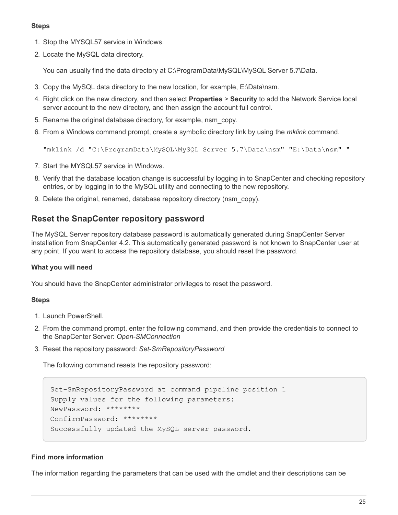#### **Steps**

- 1. Stop the MYSQL57 service in Windows.
- 2. Locate the MySQL data directory.

You can usually find the data directory at C:\ProgramData\MySQL\MySQL Server 5.7\Data.

- 3. Copy the MySQL data directory to the new location, for example, E:\Data\nsm.
- 4. Right click on the new directory, and then select **Properties** > **Security** to add the Network Service local server account to the new directory, and then assign the account full control.
- 5. Rename the original database directory, for example, nsm\_copy.
- 6. From a Windows command prompt, create a symbolic directory link by using the *mklink* command.

"mklink /d "C:\ProgramData\MySQL\MySQL Server 5.7\Data\nsm" "E:\Data\nsm" "

- 7. Start the MYSQL57 service in Windows.
- 8. Verify that the database location change is successful by logging in to SnapCenter and checking repository entries, or by logging in to the MySQL utility and connecting to the new repository.
- 9. Delete the original, renamed, database repository directory (nsm\_copy).

#### **Reset the SnapCenter repository password**

The MySQL Server repository database password is automatically generated during SnapCenter Server installation from SnapCenter 4.2. This automatically generated password is not known to SnapCenter user at any point. If you want to access the repository database, you should reset the password.

#### **What you will need**

You should have the SnapCenter administrator privileges to reset the password.

#### **Steps**

- 1. Launch PowerShell.
- 2. From the command prompt, enter the following command, and then provide the credentials to connect to the SnapCenter Server: *Open-SMConnection*
- 3. Reset the repository password: *Set-SmRepositoryPassword*

The following command resets the repository password:

```
Set-SmRepositoryPassword at command pipeline position 1
Supply values for the following parameters:
NewPassword: ********
ConfirmPassword: ********
Successfully updated the MySQL server password.
```
#### **Find more information**

The information regarding the parameters that can be used with the cmdlet and their descriptions can be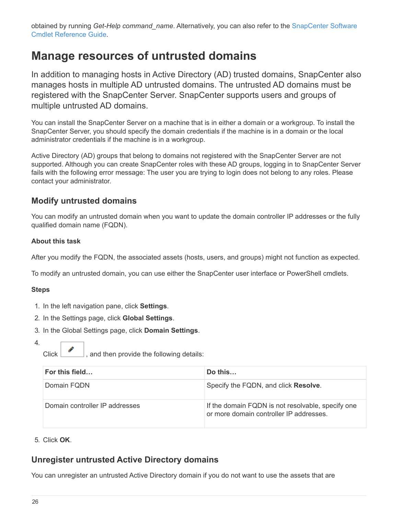obtained by running *Get-Help command\_name*. Alternatively, you can also refer to the [SnapCenter Software](https://library.netapp.com/ecm/ecm_download_file/ECMLP2877143) [Cmdlet Reference Guide.](https://library.netapp.com/ecm/ecm_download_file/ECMLP2877143)

## <span id="page-27-0"></span>**Manage resources of untrusted domains**

In addition to managing hosts in Active Directory (AD) trusted domains, SnapCenter also manages hosts in multiple AD untrusted domains. The untrusted AD domains must be registered with the SnapCenter Server. SnapCenter supports users and groups of multiple untrusted AD domains.

You can install the SnapCenter Server on a machine that is in either a domain or a workgroup. To install the SnapCenter Server, you should specify the domain credentials if the machine is in a domain or the local administrator credentials if the machine is in a workgroup.

Active Directory (AD) groups that belong to domains not registered with the SnapCenter Server are not supported. Although you can create SnapCenter roles with these AD groups, logging in to SnapCenter Server fails with the following error message: The user you are trying to login does not belong to any roles. Please contact your administrator.

## **Modify untrusted domains**

You can modify an untrusted domain when you want to update the domain controller IP addresses or the fully qualified domain name (FQDN).

#### **About this task**

After you modify the FQDN, the associated assets (hosts, users, and groups) might not function as expected.

To modify an untrusted domain, you can use either the SnapCenter user interface or PowerShell cmdlets.

#### **Steps**

- 1. In the left navigation pane, click **Settings**.
- 2. In the Settings page, click **Global Settings**.
- 3. In the Global Settings page, click **Domain Settings**.
- 4.

Click  $\begin{bmatrix} 1 & 1 \\ 0 & 0 \end{bmatrix}$ , and then provide the following details:

| For this field                 | Do this                                                                                      |
|--------------------------------|----------------------------------------------------------------------------------------------|
| Domain FQDN                    | Specify the FQDN, and click Resolve.                                                         |
| Domain controller IP addresses | If the domain FQDN is not resolvable, specify one<br>or more domain controller IP addresses. |

#### 5. Click **OK**.

## **Unregister untrusted Active Directory domains**

You can unregister an untrusted Active Directory domain if you do not want to use the assets that are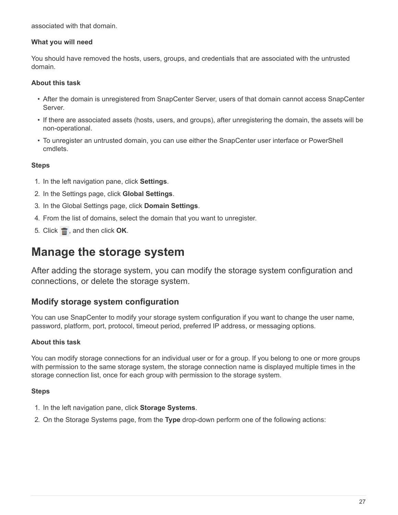associated with that domain.

#### **What you will need**

You should have removed the hosts, users, groups, and credentials that are associated with the untrusted domain.

#### **About this task**

- After the domain is unregistered from SnapCenter Server, users of that domain cannot access SnapCenter Server.
- If there are associated assets (hosts, users, and groups), after unregistering the domain, the assets will be non-operational.
- To unregister an untrusted domain, you can use either the SnapCenter user interface or PowerShell cmdlets.

#### **Steps**

- 1. In the left navigation pane, click **Settings**.
- 2. In the Settings page, click **Global Settings**.
- 3. In the Global Settings page, click **Domain Settings**.
- 4. From the list of domains, select the domain that you want to unregister.
- 5. Click  $\frac{1}{\ln 2}$ , and then click **OK**.

## <span id="page-28-0"></span>**Manage the storage system**

After adding the storage system, you can modify the storage system configuration and connections, or delete the storage system.

### **Modify storage system configuration**

You can use SnapCenter to modify your storage system configuration if you want to change the user name, password, platform, port, protocol, timeout period, preferred IP address, or messaging options.

#### **About this task**

You can modify storage connections for an individual user or for a group. If you belong to one or more groups with permission to the same storage system, the storage connection name is displayed multiple times in the storage connection list, once for each group with permission to the storage system.

#### **Steps**

- 1. In the left navigation pane, click **Storage Systems**.
- 2. On the Storage Systems page, from the **Type** drop-down perform one of the following actions: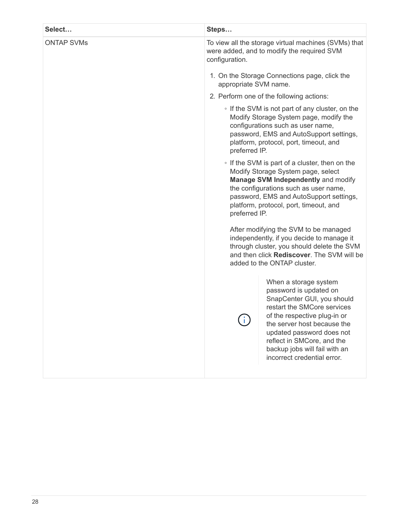| Steps                                                                                                                                                                                                                                                                                                                                                              |
|--------------------------------------------------------------------------------------------------------------------------------------------------------------------------------------------------------------------------------------------------------------------------------------------------------------------------------------------------------------------|
| To view all the storage virtual machines (SVMs) that<br>were added, and to modify the required SVM<br>configuration.                                                                                                                                                                                                                                               |
| 1. On the Storage Connections page, click the<br>appropriate SVM name.                                                                                                                                                                                                                                                                                             |
| 2. Perform one of the following actions:                                                                                                                                                                                                                                                                                                                           |
| • If the SVM is not part of any cluster, on the<br>Modify Storage System page, modify the<br>configurations such as user name,<br>password, EMS and AutoSupport settings,<br>platform, protocol, port, timeout, and<br>preferred IP.                                                                                                                               |
| • If the SVM is part of a cluster, then on the<br>Modify Storage System page, select<br><b>Manage SVM Independently and modify</b><br>the configurations such as user name,<br>password, EMS and AutoSupport settings,<br>platform, protocol, port, timeout, and<br>preferred IP.                                                                                  |
| After modifying the SVM to be managed<br>independently, if you decide to manage it<br>through cluster, you should delete the SVM<br>and then click Rediscover. The SVM will be<br>added to the ONTAP cluster.                                                                                                                                                      |
| When a storage system<br>password is updated on<br>SnapCenter GUI, you should<br>restart the SMCore services<br>of the respective plug-in or<br>$\left(\begin{smallmatrix} 1\\1\end{smallmatrix}\right)$<br>the server host because the<br>updated password does not<br>reflect in SMCore, and the<br>backup jobs will fail with an<br>incorrect credential error. |
|                                                                                                                                                                                                                                                                                                                                                                    |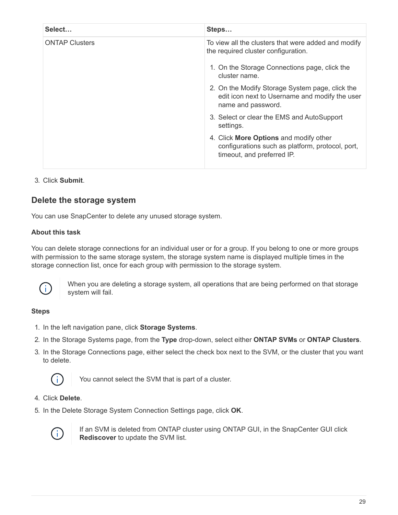| Steps                                                                                                                    |
|--------------------------------------------------------------------------------------------------------------------------|
| To view all the clusters that were added and modify<br>the required cluster configuration.                               |
| 1. On the Storage Connections page, click the<br>cluster name.                                                           |
| 2. On the Modify Storage System page, click the<br>edit icon next to Username and modify the user<br>name and password.  |
| 3. Select or clear the EMS and AutoSupport<br>settings.                                                                  |
| 4. Click More Options and modify other<br>configurations such as platform, protocol, port,<br>timeout, and preferred IP. |
|                                                                                                                          |

#### 3. Click **Submit**.

## **Delete the storage system**

You can use SnapCenter to delete any unused storage system.

#### **About this task**

You can delete storage connections for an individual user or for a group. If you belong to one or more groups with permission to the same storage system, the storage system name is displayed multiple times in the storage connection list, once for each group with permission to the storage system.



When you are deleting a storage system, all operations that are being performed on that storage system will fail.

#### **Steps**

- 1. In the left navigation pane, click **Storage Systems**.
- 2. In the Storage Systems page, from the **Type** drop-down, select either **ONTAP SVMs** or **ONTAP Clusters**.
- 3. In the Storage Connections page, either select the check box next to the SVM, or the cluster that you want to delete.



You cannot select the SVM that is part of a cluster.

- 4. Click **Delete**.
- 5. In the Delete Storage System Connection Settings page, click **OK**.



If an SVM is deleted from ONTAP cluster using ONTAP GUI, in the SnapCenter GUI click **Rediscover** to update the SVM list.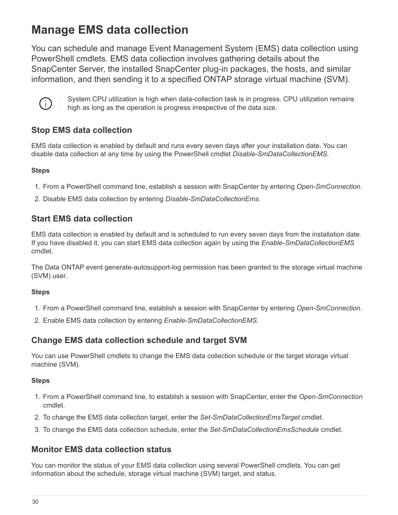## <span id="page-31-0"></span>**Manage EMS data collection**

You can schedule and manage Event Management System (EMS) data collection using PowerShell cmdlets. EMS data collection involves gathering details about the SnapCenter Server, the installed SnapCenter plug-in packages, the hosts, and similar information, and then sending it to a specified ONTAP storage virtual machine (SVM).



System CPU utilization is high when data-collection task is in progress. CPU utilization remains high as long as the operation is progress irrespective of the data size.

## **Stop EMS data collection**

EMS data collection is enabled by default and runs every seven days after your installation date. You can disable data collection at any time by using the PowerShell cmdlet *Disable-SmDataCollectionEMS*.

### **Steps**

- 1. From a PowerShell command line, establish a session with SnapCenter by entering *Open-SmConnection*.
- 2. Disable EMS data collection by entering *Disable-SmDataCollectionEms*.

## **Start EMS data collection**

EMS data collection is enabled by default and is scheduled to run every seven days from the installation date. If you have disabled it, you can start EMS data collection again by using the *Enable-SmDataCollectionEMS* cmdlet.

The Data ONTAP event generate-autosupport-log permission has been granted to the storage virtual machine (SVM) user.

#### **Steps**

- 1. From a PowerShell command line, establish a session with SnapCenter by entering *Open-SmConnection*.
- 2. Enable EMS data collection by entering *Enable-SmDataCollectionEMS*.

## **Change EMS data collection schedule and target SVM**

You can use PowerShell cmdlets to change the EMS data collection schedule or the target storage virtual machine (SVM).

#### **Steps**

- 1. From a PowerShell command line, to establish a session with SnapCenter, enter the *Open-SmConnection* cmdlet.
- 2. To change the EMS data collection target, enter the *Set-SmDataCollectionEmsTarget* cmdlet.
- 3. To change the EMS data collection schedule, enter the *Set-SmDataCollectionEmsSchedule* cmdlet.

## **Monitor EMS data collection status**

You can monitor the status of your EMS data collection using several PowerShell cmdlets. You can get information about the schedule, storage virtual machine (SVM) target, and status.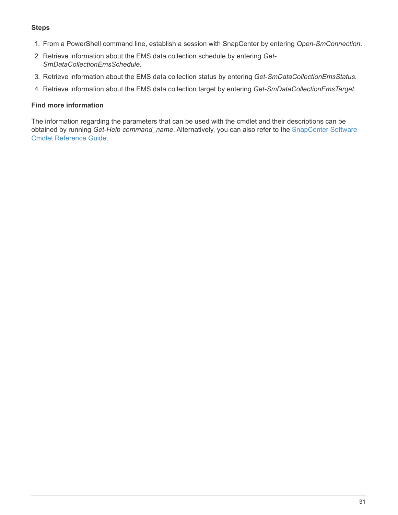#### **Steps**

- 1. From a PowerShell command line, establish a session with SnapCenter by entering *Open-SmConnection*.
- 2. Retrieve information about the EMS data collection schedule by entering *Get-SmDataCollectionEmsSchedule*.
- 3. Retrieve information about the EMS data collection status by entering *Get-SmDataCollectionEmsStatus*.
- 4. Retrieve information about the EMS data collection target by entering *Get-SmDataCollectionEmsTarget*.

#### **Find more information**

The information regarding the parameters that can be used with the cmdlet and their descriptions can be obtained by running *Get-Help command\_name*. Alternatively, you can also refer to the [SnapCenter Software](https://library.netapp.com/ecm/ecm_download_file/ECMLP2877143) [Cmdlet Reference Guide.](https://library.netapp.com/ecm/ecm_download_file/ECMLP2877143)